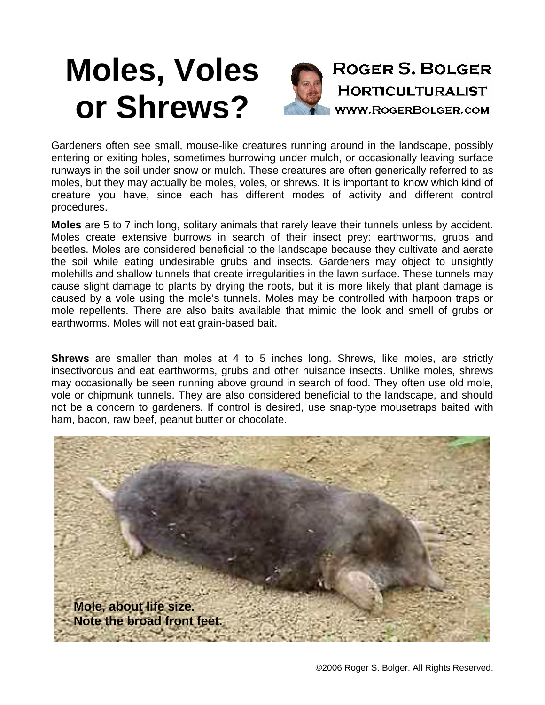## **Moles, Voles or Shrews?**



Gardeners often see small, mouse-like creatures running around in the landscape, possibly entering or exiting holes, sometimes burrowing under mulch, or occasionally leaving surface runways in the soil under snow or mulch. These creatures are often generically referred to as moles, but they may actually be moles, voles, or shrews. It is important to know which kind of creature you have, since each has different modes of activity and different control procedures.

**Moles** are 5 to 7 inch long, solitary animals that rarely leave their tunnels unless by accident. Moles create extensive burrows in search of their insect prey: earthworms, grubs and beetles. Moles are considered beneficial to the landscape because they cultivate and aerate the soil while eating undesirable grubs and insects. Gardeners may object to unsightly molehills and shallow tunnels that create irregularities in the lawn surface. These tunnels may cause slight damage to plants by drying the roots, but it is more likely that plant damage is caused by a vole using the mole's tunnels. Moles may be controlled with harpoon traps or mole repellents. There are also baits available that mimic the look and smell of grubs or earthworms. Moles will not eat grain-based bait.

**Shrews** are smaller than moles at 4 to 5 inches long. Shrews, like moles, are strictly insectivorous and eat earthworms, grubs and other nuisance insects. Unlike moles, shrews may occasionally be seen running above ground in search of food. They often use old mole, vole or chipmunk tunnels. They are also considered beneficial to the landscape, and should not be a concern to gardeners. If control is desired, use snap-type mousetraps baited with ham, bacon, raw beef, peanut butter or chocolate.